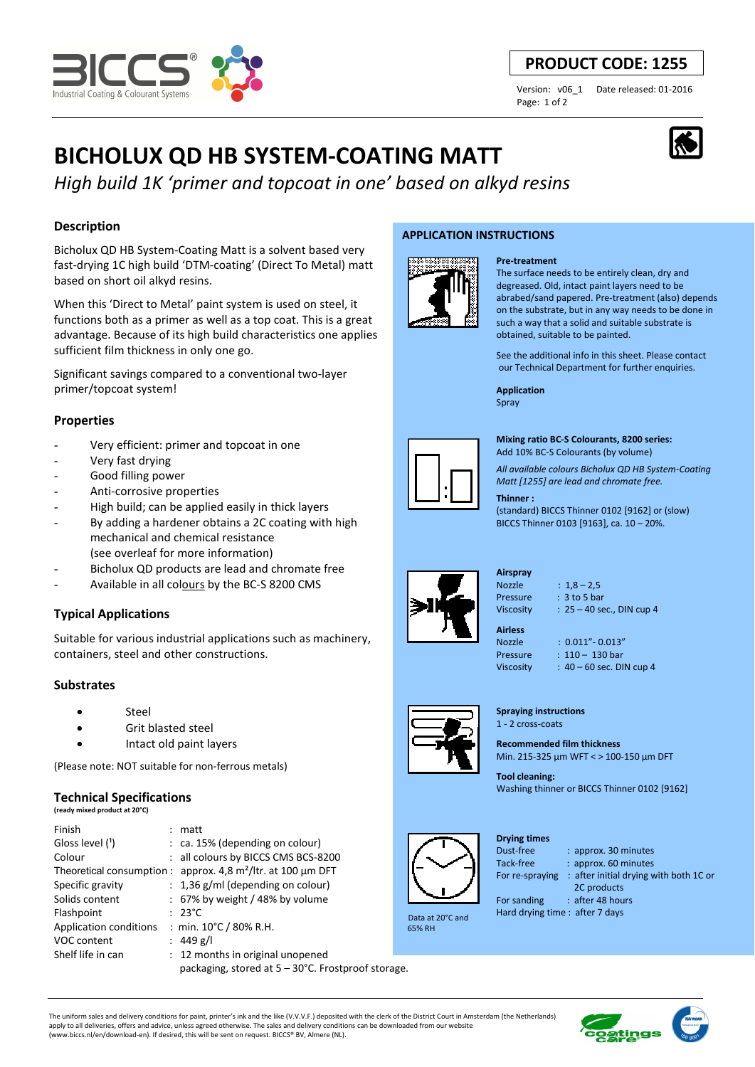

### **PRODUCT CODE: 1255**

Page: 1 of 2

Version: v06\_1 Date released: 01-2016

## **BICHOLUX QD HB SYSTEM-COATING MATT**

*High build 1K 'primer and topcoat in one' based on alkyd resins*

#### **Description**

Bicholux QD HB System-Coating Matt is a solvent based very fast-drying 1C high build 'DTM-coating' (Direct To Metal) matt based on short oil alkyd resins.

When this 'Direct to Metal' paint system is used on steel, it functions both as a primer as well as a top coat. This is a great advantage. Because of its high build characteristics one applies sufficient film thickness in only one go.

Significant savings compared to a conventional two-layer primer/topcoat system!

#### **Properties**

- Very efficient: primer and topcoat in one
- Very fast drying
- Good filling power
- Anti-corrosive properties
- High build; can be applied easily in thick layers
- By adding a hardener obtains a 2C coating with high mechanical and chemical resistance
- (see overleaf for more information)
- Bicholux QD products are lead and chromate free
- Available in all colours by the BC-S 8200 CMS

#### **Typical Applications**

Suitable for various industrial applications such as machinery, containers, steel and other constructions.

#### **Substrates**

- **Steel**
- Grit blasted steel
- Intact old paint layers

(Please note: NOT suitable for non-ferrous metals)

#### **Technical Specifications**

**(ready mixed product at 20°C)**

| Finish                 | matt                                                            |  |
|------------------------|-----------------------------------------------------------------|--|
| Gloss level $(1)$      | $:$ ca. 15% (depending on colour)                               |  |
| Colour                 | : all colours by BICCS CMS BCS-8200                             |  |
|                        | Theoretical consumption : approx. 4,8 $m^2$ /ltr. at 100 µm DFT |  |
| Specific gravity       | $: 1,36$ g/ml (depending on colour)                             |  |
| Solids content         | $: 67\%$ by weight / 48% by volume                              |  |
| Flashpoint             | $: 23^{\circ}$ C                                                |  |
| Application conditions | : min. $10^{\circ}$ C / 80% R.H.                                |  |
| VOC content            | : 449 g/l                                                       |  |
| Shelf life in can      | : 12 months in original unopened                                |  |
|                        | packaging, stored at 5 – 30°C. Frostproof storage.              |  |

#### **APPLICATION INSTRUCTIONS**



The surface needs to be entirely clean, dry and degreased. Old, intact paint layers need to be abrabed/sand papered. Pre-treatment (also) depends on the substrate, but in any way needs to be done in such a way that a solid and suitable substrate is obtained, suitable to be painted.

See the additional info in this sheet. Please contact our Technical Department for further enquiries.

**Application**  Spray

**Pre-treatment**



**Mixing ratio BC-S Colourants, 8200 series:** 

Add 10% BC-S Colourants (by volume)

*All available colours Bicholux QD HB System-Coating Matt [1255] are lead and chromate free.*

#### **Thinner :**

(standard) BICCS Thinner 0102 [9162] or (slow) BICCS Thinner 0103 [9163], ca. 10 – 20%.



**Airspray** 

Nozzle : 1,8 – 2,5 Pressure : 3 to 5 bar Viscosity : 25 – 40 sec., DIN cup 4

**Airless** 

Nozzle : 0.011"- 0.013" Pressure : 110 – 130 bar Viscosity : 40 – 60 sec. DIN cup 4

**Spraying instructions** 

1 - 2 cross-coats

**Recommended film thickness**  Min. 215-325 µm WFT < > 100-150 µm DFT

**Tool cleaning:**  Washing thinner or BICCS Thinner 0102 [9162]

: approx. 30 minutes



 Data at 20°C and 65% RH

# **Drying times**

Tack-free : approx. 60 minutes For re-spraying : after initial drying with both 1C or

2C products

For sanding : after 48 hours

Hard drying time : after 7 days

The uniform sales and delivery conditions for paint, printer's ink and the like (V.V.V.F.) deposited with the clerk of the District Court in Amsterdam (the Netherlands) apply to all deliveries, offers and advice, unless agreed otherwise. The sales and delivery conditions can be downloaded from our website (www.biccs.nl/en/download-en). If desired, this will be sent on request. BICCS® BV, Almere (NL).